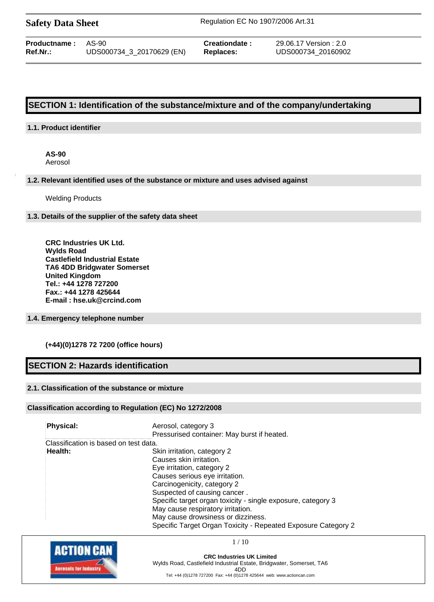| <b>Safety Data Sheet</b> |  |  |
|--------------------------|--|--|
|--------------------------|--|--|

**Safety Data Sheet** Regulation EC No 1907/2006 Art.31

| <b>Productname:</b> | AS-90                     | Creationdate: |
|---------------------|---------------------------|---------------|
| Ref.Nr.:            | UDS000734_3_20170629 (EN) | Replaces:     |

**Productname :** AS-90 **Creationdate :** 29.06.17 Version : 2.0 **Ref.Nr.:** UDS000734\_3\_20170629 (EN) **Replaces:** UDS000734\_20160902

# **SECTION 1: Identification of the substance/mixture and of the company/undertaking**

# **1.1. Product identifier**

**AS-90** Aerosol

#### **1.2. Relevant identified uses of the substance or mixture and uses advised against**

Welding Products

### **1.3. Details of the supplier of the safety data sheet**

**CRC Industries UK Ltd. Wylds Road Castlefield Industrial Estate TA6 4DD Bridgwater Somerset United Kingdom Tel.: +44 1278 727200 Fax.: +44 1278 425644 E-mail : hse.uk@crcind.com**

# **1.4. Emergency telephone number**

# **(+44)(0)1278 72 7200 (office hours)**

# **SECTION 2: Hazards identification**

# **2.1. Classification of the substance or mixture**

# **Classification according to Regulation (EC) No 1272/2008**

| <b>Physical:</b>                      | Aerosol, category 3                                           |
|---------------------------------------|---------------------------------------------------------------|
|                                       | Pressurised container: May burst if heated.                   |
| Classification is based on test data. |                                                               |
| Health:                               | Skin irritation, category 2                                   |
|                                       | Causes skin irritation.                                       |
|                                       | Eye irritation, category 2                                    |
|                                       | Causes serious eye irritation.                                |
|                                       | Carcinogenicity, category 2                                   |
|                                       | Suspected of causing cancer.                                  |
|                                       | Specific target organ toxicity - single exposure, category 3  |
|                                       | May cause respiratory irritation.                             |
|                                       | May cause drowsiness or dizziness.                            |
|                                       | Specific Target Organ Toxicity - Repeated Exposure Category 2 |



1 / 10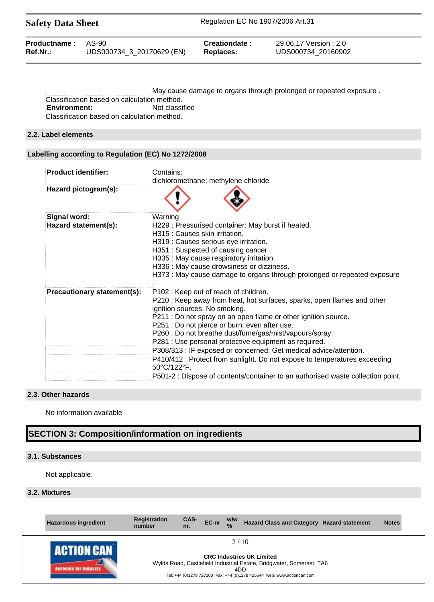| <b>Safety Data Sheet</b> |                           | Regulation EC No 1907/2006 Art.31 |                        |  |
|--------------------------|---------------------------|-----------------------------------|------------------------|--|
| Productname:             | AS-90                     | Creationdate:                     | 29.06.17 Version : 2.0 |  |
| $Ref.Nr.$ :              | UDS000734 3 20170629 (EN) | <b>Replaces:</b>                  | UDS000734 20160902     |  |

May cause damage to organs through prolonged or repeated exposure . Classification based on calculation method. **Environment:** Not classified Classification based on calculation method.

#### **2.2. Label elements**

# **Labelling according to Regulation (EC) No 1272/2008**

| <b>Product identifier:</b>  | Contains:<br>dichloromethane; methylene chloride                                                                                                                                                                                                                                                                                                                                                                                                                                                                                                         |
|-----------------------------|----------------------------------------------------------------------------------------------------------------------------------------------------------------------------------------------------------------------------------------------------------------------------------------------------------------------------------------------------------------------------------------------------------------------------------------------------------------------------------------------------------------------------------------------------------|
| Hazard pictogram(s):        |                                                                                                                                                                                                                                                                                                                                                                                                                                                                                                                                                          |
| Signal word:                | Warning                                                                                                                                                                                                                                                                                                                                                                                                                                                                                                                                                  |
| Hazard statement(s):        | H229: Pressurised container: May burst if heated.<br>H315 : Causes skin irritation.<br>H319 : Causes serious eye irritation.<br>H351: Suspected of causing cancer.<br>H335 : May cause respiratory irritation.<br>H336 : May cause drowsiness or dizziness.<br>H373 : May cause damage to organs through prolonged or repeated exposure                                                                                                                                                                                                                  |
| Precautionary statement(s): | P102: Keep out of reach of children.<br>P210 : Keep away from heat, hot surfaces, sparks, open flames and other<br>ignition sources. No smoking.<br>P211 : Do not spray on an open flame or other ignition source.<br>P251 : Do not pierce or burn, even after use.<br>P260 : Do not breathe dust/fume/gas/mist/vapours/spray.<br>P281 : Use personal protective equipment as required.<br>P308/313 : IF exposed or concerned: Get medical advice/attention.<br>P410/412 : Protect from sunlight. Do not expose to temperatures exceeding<br>50°C/122°F. |
|                             | P501-2 : Dispose of contents/container to an authorised waste collection point.                                                                                                                                                                                                                                                                                                                                                                                                                                                                          |

## **2.3. Other hazards**

No information available

# **SECTION 3: Composition/information on ingredients**

#### **3.1. Substances**

Not applicable.

## **3.2. Mixtures**

| <b>Hazardous ingredient</b>               | <b>Registration</b><br>number | CAS-<br>nr. | EC-nr | W/W<br>$\frac{0}{0}$ | Hazard Class and Category Hazard statement                                                                                                                                         | <b>Notes</b> |
|-------------------------------------------|-------------------------------|-------------|-------|----------------------|------------------------------------------------------------------------------------------------------------------------------------------------------------------------------------|--------------|
| <b>LARTION L.</b><br>crescis for industry |                               |             |       | 2/10<br>4DD          | <b>CRC Industries UK Limited</b><br>Wylds Road, Castlefield Industrial Estate, Bridgwater, Somerset, TA6<br>Tel: +44 (0)1278 727200 Fax: +44 (0)1278 425644 web: www.actioncan.com |              |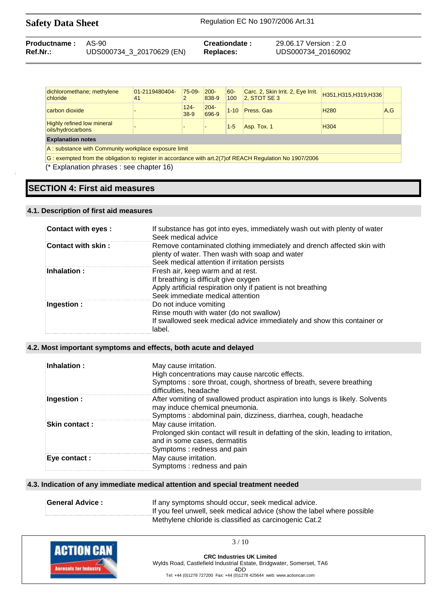| <b>Productname: AS-90</b> |                           | Creationdate: | 29.06.17 Version: 2.0 |
|---------------------------|---------------------------|---------------|-----------------------|
| $Ref.Nr.$ :               | UDS000734_3_20170629 (EN) | Replaces:     | UDS000734 20160902    |

| dichloromethane; methylene<br>chloride                                                                    | 01-2119480404-<br>41 | $75-09-$          | $200 -$<br>838-9 | 60-<br>100 | Carc. 2, Skin Irrit. 2, Eye Irrit.<br>$2$ , STOT SE 3 | H351, H315, H319, H336 |     |
|-----------------------------------------------------------------------------------------------------------|----------------------|-------------------|------------------|------------|-------------------------------------------------------|------------------------|-----|
| carbon dioxide                                                                                            |                      | $124 -$<br>$38-9$ | $204 -$<br>696-9 | $1 - 10$   | Press, Gas                                            | H <sub>280</sub>       | A.G |
| <b>Highly refined low mineral</b><br>oils/hydrocarbons                                                    |                      |                   |                  | $1 - 5$    | Asp. Tox. 1                                           | H <sub>304</sub>       |     |
| <b>Explanation notes</b>                                                                                  |                      |                   |                  |            |                                                       |                        |     |
| A: substance with Community workplace exposure limit                                                      |                      |                   |                  |            |                                                       |                        |     |
| G: exempted from the obligation to register in accordance with art. 2(7) of REACH Regulation No 1907/2006 |                      |                   |                  |            |                                                       |                        |     |

(\* Explanation phrases : see chapter 16)

# **SECTION 4: First aid measures**

### **4.1. Description of first aid measures**

| Contact with eyes: | If substance has got into eyes, immediately wash out with plenty of water<br>Seek medical advice                                                                                |
|--------------------|---------------------------------------------------------------------------------------------------------------------------------------------------------------------------------|
| Contact with skin: | Remove contaminated clothing immediately and drench affected skin with<br>plenty of water. Then wash with soap and water<br>Seek medical attention if irritation persists       |
| <b>Inhalation:</b> | Fresh air, keep warm and at rest.<br>If breathing is difficult give oxygen<br>Apply artificial respiration only if patient is not breathing<br>Seek immediate medical attention |
| : Ingestion        | Do not induce vomiting<br>Rinse mouth with water (do not swallow)<br>If swallowed seek medical advice immediately and show this container or<br>label.                          |

## **4.2. Most important symptoms and effects, both acute and delayed**

| Inhalation:          | May cause irritation.<br>High concentrations may cause narcotic effects.<br>Symptoms: sore throat, cough, shortness of breath, severe breathing<br>difficulties, headache          |
|----------------------|------------------------------------------------------------------------------------------------------------------------------------------------------------------------------------|
| Ingestion :          | After vomiting of swallowed product aspiration into lungs is likely. Solvents<br>may induce chemical pneumonia.<br>Symptoms : abdominal pain, dizziness, diarrhea, cough, headache |
| <b>Skin contact:</b> | May cause irritation.<br>Prolonged skin contact will result in defatting of the skin, leading to irritation,<br>and in some cases, dermatitis<br>Symptoms: redness and pain        |
| Eve contact :        | May cause irritation.<br>Symptoms: redness and pain                                                                                                                                |

# **4.3. Indication of any immediate medical attention and special treatment needed**

| <b>General Advice :</b> | If any symptoms should occur, seek medical advice.                     |
|-------------------------|------------------------------------------------------------------------|
|                         | If you feel unwell, seek medical advice (show the label where possible |
|                         | Methylene chloride is classified as carcinogenic Cat.2                 |



 $3/10$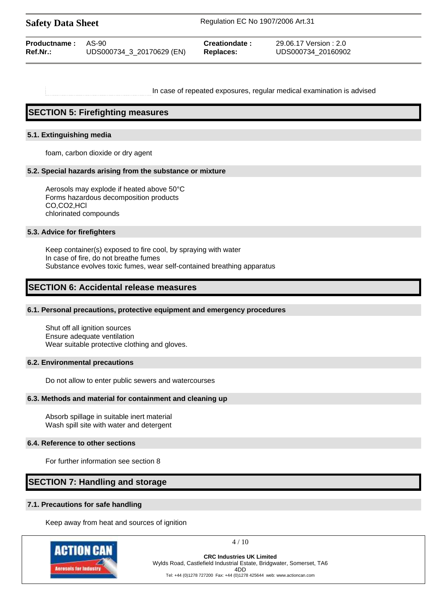| <b>Safety Data Sheet</b> |  |
|--------------------------|--|
|--------------------------|--|

**Safety Data Sheet** Regulation EC No 1907/2006 Art.31

| <b>Productname: AS-90</b> | UDS000734_3_20170629 (EN) | Creationdate :   | 29.06.17 Version : 2.0 |
|---------------------------|---------------------------|------------------|------------------------|
| Ref.Nr.:                  |                           | <b>Replaces:</b> | UDS000734 20160902     |
|                           |                           |                  |                        |

In case of repeated exposures, regular medical examination is advised

# **SECTION 5: Firefighting measures**

## **5.1. Extinguishing media**

foam, carbon dioxide or dry agent

### **5.2. Special hazards arising from the substance or mixture**

Aerosols may explode if heated above 50°C Forms hazardous decomposition products CO,CO2,HCl chlorinated compounds

### **5.3. Advice for firefighters**

Keep container(s) exposed to fire cool, by spraying with water In case of fire, do not breathe fumes Substance evolves toxic fumes, wear self-contained breathing apparatus

# **SECTION 6: Accidental release measures**

# **6.1. Personal precautions, protective equipment and emergency procedures**

Shut off all ignition sources Ensure adequate ventilation Wear suitable protective clothing and gloves.

#### **6.2. Environmental precautions**

Do not allow to enter public sewers and watercourses

# **6.3. Methods and material for containment and cleaning up**

Absorb spillage in suitable inert material Wash spill site with water and detergent

# **6.4. Reference to other sections**

For further information see section 8

# **SECTION 7: Handling and storage**

## **7.1. Precautions for safe handling**

Keep away from heat and sources of ignition



4 / 10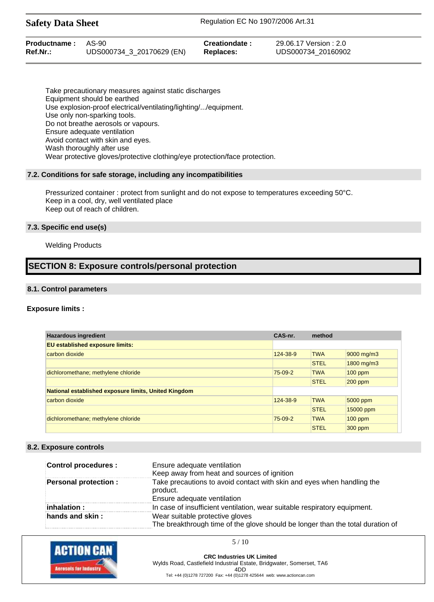**Safety Data Sheet** Regulation EC No 1907/2006 Art.31

| <b>Productname: AS-90</b> | UDS000734_3_20170629 (EN) | Creationdate: | 29.06.17 Version : 2.0 |
|---------------------------|---------------------------|---------------|------------------------|
| $Ref.Nr.$ :               |                           | Replaces:     | UDS000734 20160902     |
|                           |                           |               |                        |

Take precautionary measures against static discharges Equipment should be earthed Use explosion-proof electrical/ventilating/lighting/.../equipment. Use only non-sparking tools. Do not breathe aerosols or vapours. Ensure adequate ventilation Avoid contact with skin and eyes. Wash thoroughly after use Wear protective gloves/protective clothing/eye protection/face protection.

### **7.2. Conditions for safe storage, including any incompatibilities**

Pressurized container : protect from sunlight and do not expose to temperatures exceeding 50°C. Keep in a cool, dry, well ventilated place Keep out of reach of children.

# **7.3. Specific end use(s)**

# Welding Products

# **SECTION 8: Exposure controls/personal protection**

### **8.1. Control parameters**

# **Exposure limits :**

| <b>Hazardous ingredient</b>                                 | CAS-nr.   | method      |            |
|-------------------------------------------------------------|-----------|-------------|------------|
| <b>EU established exposure limits:</b>                      |           |             |            |
| carbon dioxide                                              | 124-38-9  | <b>TWA</b>  | 9000 mg/m3 |
|                                                             |           | <b>STEL</b> | 1800 mg/m3 |
| dichloromethane; methylene chloride                         | $75-09-2$ | <b>TWA</b>  | $100$ ppm  |
|                                                             |           | <b>STEL</b> | $200$ ppm  |
| <b>National established exposure limits, United Kingdom</b> |           |             |            |
| carbon dioxide                                              | 124-38-9  | <b>TWA</b>  | 5000 ppm   |
|                                                             |           | <b>STEL</b> | 15000 ppm  |
| dichloromethane; methylene chloride                         | $75-09-2$ | <b>TWA</b>  | $100$ ppm  |
|                                                             |           | <b>STEL</b> | 300 ppm    |

#### **8.2. Exposure controls**

| Control procedures :        | Ensure adequate ventilation<br>Keep away from heat and sources of ignition                                        |
|-----------------------------|-------------------------------------------------------------------------------------------------------------------|
| <b>Personal protection:</b> | Take precautions to avoid contact with skin and eyes when handling the<br>product.<br>Ensure adequate ventilation |
| inhalation:                 | In case of insufficient ventilation, wear suitable respiratory equipment.                                         |
| hands and skin:             | Wear suitable protective gloves<br>The breakthrough time of the glove should be longer than the total duration of |



**CRC Industries UK Limited** Wylds Road, Castlefield Industrial Estate, Bridgwater, Somerset, TA6 4DD Tel: +44 (0)1278 727200 Fax: +44 (0)1278 425644 web: www.actioncan.com

5 / 10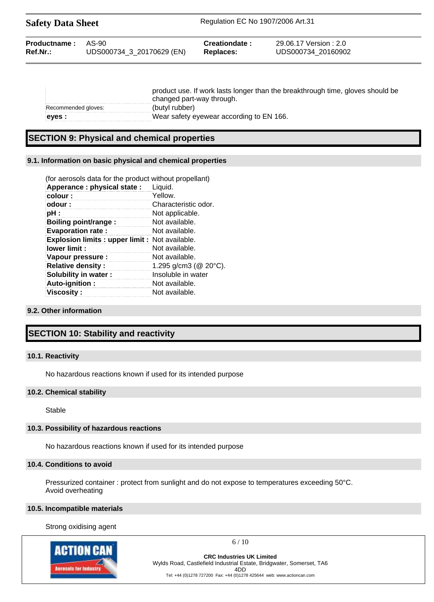| <b>Safety Data Sheet</b> |                           | Regulation EC No 1907/2006 Art.31 |                        |  |
|--------------------------|---------------------------|-----------------------------------|------------------------|--|
| Productname:             | AS-90                     | Creationdate:                     | 29.06.17 Version : 2.0 |  |
| Ref.Nr.:                 | UDS000734_3_20170629 (EN) | <b>Replaces:</b>                  | UDS000734 20160902     |  |

| product use. If work lasts longer than the breakthrough time, gloves should be |                                          |
|--------------------------------------------------------------------------------|------------------------------------------|
|                                                                                | changed part-way through.                |
| Recommended gloves:                                                            | (butyl rubber)                           |
| eves :                                                                         | Wear safety eyewear according to EN 166. |

# **SECTION 9: Physical and chemical properties**

# **9.1. Information on basic physical and chemical properties**

| (for aerosols data for the product without propellant) |
|--------------------------------------------------------|
| Liquid.                                                |
| Yellow.                                                |
| Characteristic odor.                                   |
| Not applicable.                                        |
| Not available.                                         |
| Not available.                                         |
| <b>Explosion limits: upper limit: Not available.</b>   |
| Not available.                                         |
| Not available.                                         |
| 1.295 g/cm3 ( $@$ 20 $°C$ ).                           |
| Insoluble in water                                     |
| Not available.                                         |
| Not available.                                         |
|                                                        |

# **9.2. Other information**

# **SECTION 10: Stability and reactivity**

#### **10.1. Reactivity**

No hazardous reactions known if used for its intended purpose

## **10.2. Chemical stability**

Stable

## **10.3. Possibility of hazardous reactions**

No hazardous reactions known if used for its intended purpose

#### **10.4. Conditions to avoid**

Pressurized container : protect from sunlight and do not expose to temperatures exceeding 50°C. Avoid overheating

#### **10.5. Incompatible materials**

Strong oxidising agent



 $6/10$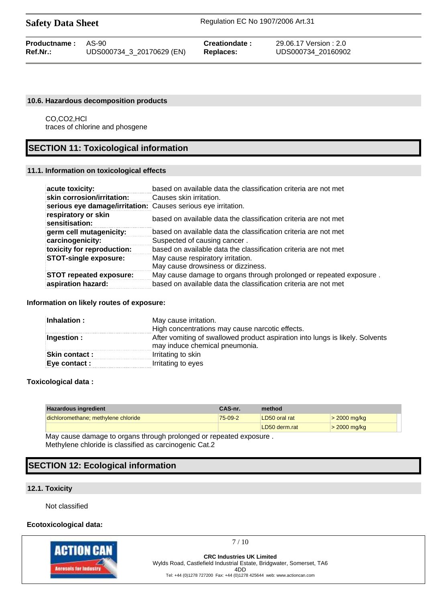| <b>Safety Data Sheet</b> |  |  |
|--------------------------|--|--|
|--------------------------|--|--|

| <b>Productname: AS-90</b> |                           | Creationdate: | 29.06.17 Version : 2.0 |
|---------------------------|---------------------------|---------------|------------------------|
| <b>Ref.Nr.:</b>           | UDS000734_3_20170629 (EN) | Replaces:     | UDS000734 20160902     |

# **10.6. Hazardous decomposition products**

CO,CO2,HCl traces of chlorine and phosgene

# **SECTION 11: Toxicological information**

## **11.1. Information on toxicological effects**

| acute toxicity:                                               | based on available data the classification criteria are not met         |
|---------------------------------------------------------------|-------------------------------------------------------------------------|
| skin corrosion/irritation:                                    | Causes skin irritation.                                                 |
| serious eye damage/irritation: Causes serious eye irritation. |                                                                         |
| respiratory or skin<br>sensitisation:                         | based on available data the classification criteria are not met         |
| germ cell mutagenicity:                                       | based on available data the classification criteria are not met         |
| carcinogenicity:                                              | Suspected of causing cancer.                                            |
| toxicity for reproduction:                                    | based on available data the classification criteria are not met         |
| <b>STOT-single exposure:</b>                                  | May cause respiratory irritation.<br>May cause drowsiness or dizziness. |
| <b>STOT repeated exposure:</b>                                | May cause damage to organs through prolonged or repeated exposure.      |
| aspiration hazard:                                            | based on available data the classification criteria are not met         |

#### **Information on likely routes of exposure:**

| Inhalation:           | May cause irritation.                                                                                           |
|-----------------------|-----------------------------------------------------------------------------------------------------------------|
|                       | High concentrations may cause narcotic effects.                                                                 |
| Ingestion :           | After vomiting of swallowed product aspiration into lungs is likely. Solvents<br>may induce chemical pneumonia. |
| <b>Skin contact :</b> | Irritating to skin                                                                                              |
| Eye contact :         | Irritating to eyes                                                                                              |

# **Toxicological data :**

| 75-09-2 | LD50 oral rat | $>$ 2000 mg/kg                                                                                                                  |
|---------|---------------|---------------------------------------------------------------------------------------------------------------------------------|
|         |               | $>$ 2000 mg/kg                                                                                                                  |
|         |               | LD50 derm.rat<br>All the second contracts are contracted by the contracted and contract the second state of the second state of |

May cause damage to organs through prolonged or repeated exposure . Methylene chloride is classified as carcinogenic Cat.2

# **SECTION 12: Ecological information**

# **12.1. Toxicity**

Not classified

# **Ecotoxicological data:**



7 / 10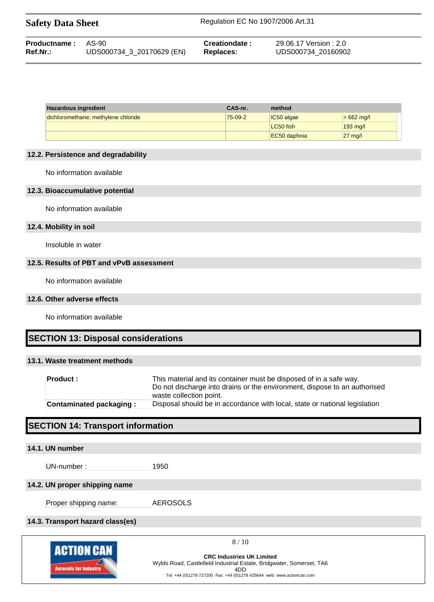| <b>Safety Data Sheet</b> | Regulation EC No 1907/2006 Art.31 |
|--------------------------|-----------------------------------|
|                          |                                   |

| <b>Productname: AS-90</b> |                           | Creationdate: | 29.06.17 Version : 2.0 |
|---------------------------|---------------------------|---------------|------------------------|
| Ref.Nr.:                  | UDS000734 3 20170629 (EN) | Replaces:     | UDS000734 20160902     |

| Hazardous ingredient                | CAS-nr. | method       |                   |
|-------------------------------------|---------|--------------|-------------------|
| dichloromethane; methylene chloride | 75-09-2 | IC50 algae   | $>662$ mg/l       |
|                                     |         | LC50 fish    | $193$ mg/l        |
|                                     |         | EC50 daphnia | $27 \text{ mg}/l$ |

## **12.2. Persistence and degradability**

No information available

# **12.3. Bioaccumulative potential**

No information available

## **12.4. Mobility in soil**

Insoluble in water

# **12.5. Results of PBT and vPvB assessment**

No information available

#### **12.6. Other adverse effects**

No information available

# **SECTION 13: Disposal considerations**

# **13.1. Waste treatment methods**

| <b>Product:</b>                | This material and its container must be disposed of in a safe way.<br>Do not discharge into drains or the environment, dispose to an authorised<br>waste collection point. |
|--------------------------------|----------------------------------------------------------------------------------------------------------------------------------------------------------------------------|
| <b>Contaminated packaging:</b> | Disposal should be in accordance with local, state or national legislation                                                                                                 |

# **SECTION 14: Transport information**

# **14.1. UN number**

UN-number : 1950

# **14.2. UN proper shipping name**

Proper shipping name: AEROSOLS

# **14.3. Transport hazard class(es)**



8 / 10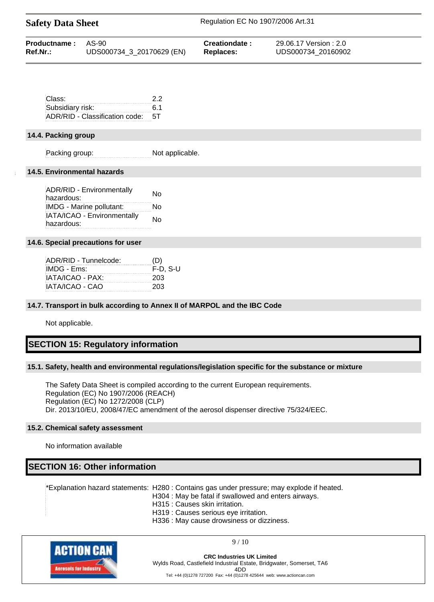| <b>Safety Data Sheet</b> |                           | Regulation EC No 1907/2006 Art.31 |                        |  |
|--------------------------|---------------------------|-----------------------------------|------------------------|--|
| Productname:             | AS-90                     | Creationdate:                     | 29.06.17 Version : 2.0 |  |
| Ref.Nr.:                 | UDS000734 3 20170629 (EN) | <b>Replaces:</b>                  | UDS000734 20160902     |  |

| Class:                            | 22  |
|-----------------------------------|-----|
| Subsidiary risk:                  | 6.1 |
| ADR/RID - Classification code: 5T |     |

#### **14.4. Packing group**

Packing group: Not applicable.

### **14.5. Environmental hazards**

| ADR/RID - Environmentally<br>hazardous:   | No |
|-------------------------------------------|----|
| IMDG - Marine pollutant:                  | N٥ |
| IATA/ICAO - Environmentally<br>hazardous: | No |
|                                           |    |

### **14.6. Special precautions for user**

| ADR/RID - Tunnelcode: | (D)        |
|-----------------------|------------|
| IMDG - Ems:           | $F-D. S-U$ |
| IATA/ICAO - PAX:      | 203        |
| IATA/ICAO - CAO       | 203        |

#### **14.7. Transport in bulk according to Annex II of MARPOL and the IBC Code**

Not applicable.

# **SECTION 15: Regulatory information**

#### **15.1. Safety, health and environmental regulations/legislation specific for the substance or mixture**

The Safety Data Sheet is compiled according to the current European requirements. Regulation (EC) No 1907/2006 (REACH) Regulation (EC) No 1272/2008 (CLP) Dir. 2013/10/EU, 2008/47/EC amendment of the aerosol dispenser directive 75/324/EEC.

# **15.2. Chemical safety assessment**

No information available

# **SECTION 16: Other information**

\*Explanation hazard statements: H280 : Contains gas under pressure; may explode if heated.

- H304 : May be fatal if swallowed and enters airways.
	- H315 : Causes skin irritation.
	- H319 : Causes serious eye irritation.
	- H336 : May cause drowsiness or dizziness.



9 / 10